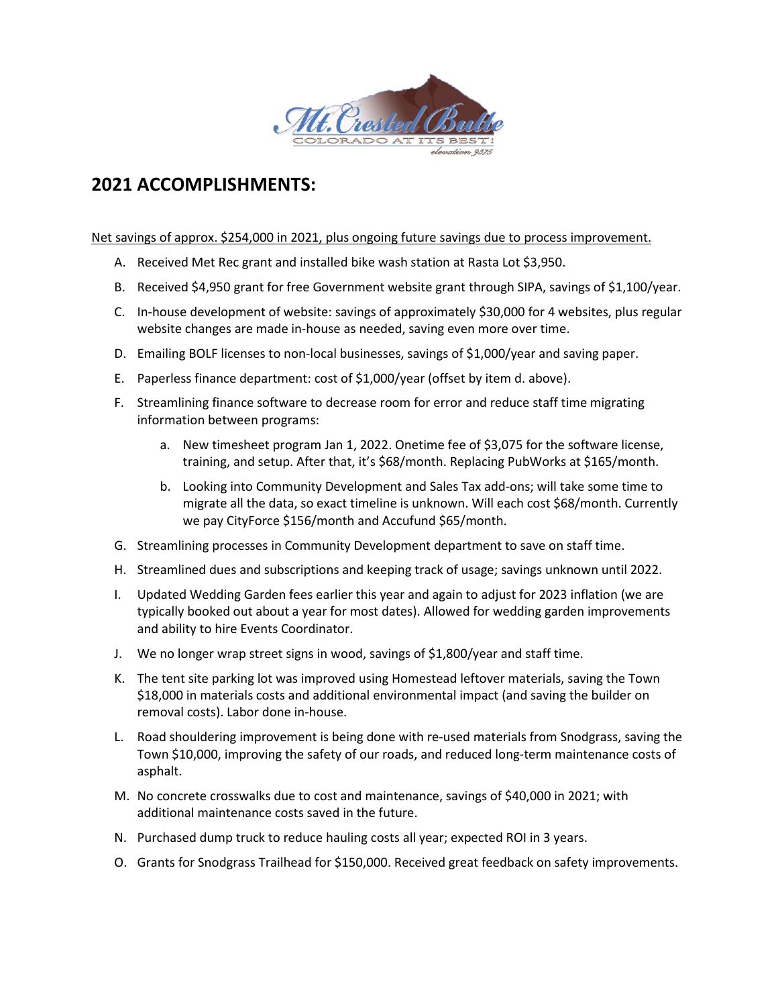

# **2021 ACCOMPLISHMENTS:**

## Net savings of approx. \$254,000 in 2021, plus ongoing future savings due to process improvement.

- A. Received Met Rec grant and installed bike wash station at Rasta Lot \$3,950.
- B. Received \$4,950 grant for free Government website grant through SIPA, savings of \$1,100/year.
- C. In-house development of website: savings of approximately \$30,000 for 4 websites, plus regular website changes are made in-house as needed, saving even more over time.
- D. Emailing BOLF licenses to non-local businesses, savings of \$1,000/year and saving paper.
- E. Paperless finance department: cost of \$1,000/year (offset by item d. above).
- F. Streamlining finance software to decrease room for error and reduce staff time migrating information between programs:
	- a. New timesheet program Jan 1, 2022. Onetime fee of \$3,075 for the software license, training, and setup. After that, it's \$68/month. Replacing PubWorks at \$165/month.
	- b. Looking into Community Development and Sales Tax add-ons; will take some time to migrate all the data, so exact timeline is unknown. Will each cost \$68/month. Currently we pay CityForce \$156/month and Accufund \$65/month.
- G. Streamlining processes in Community Development department to save on staff time.
- H. Streamlined dues and subscriptions and keeping track of usage; savings unknown until 2022.
- I. Updated Wedding Garden fees earlier this year and again to adjust for 2023 inflation (we are typically booked out about a year for most dates). Allowed for wedding garden improvements and ability to hire Events Coordinator.
- J. We no longer wrap street signs in wood, savings of \$1,800/year and staff time.
- K. The tent site parking lot was improved using Homestead leftover materials, saving the Town \$18,000 in materials costs and additional environmental impact (and saving the builder on removal costs). Labor done in-house.
- L. Road shouldering improvement is being done with re-used materials from Snodgrass, saving the Town \$10,000, improving the safety of our roads, and reduced long-term maintenance costs of asphalt.
- M. No concrete crosswalks due to cost and maintenance, savings of \$40,000 in 2021; with additional maintenance costs saved in the future.
- N. Purchased dump truck to reduce hauling costs all year; expected ROI in 3 years.
- O. Grants for Snodgrass Trailhead for \$150,000. Received great feedback on safety improvements.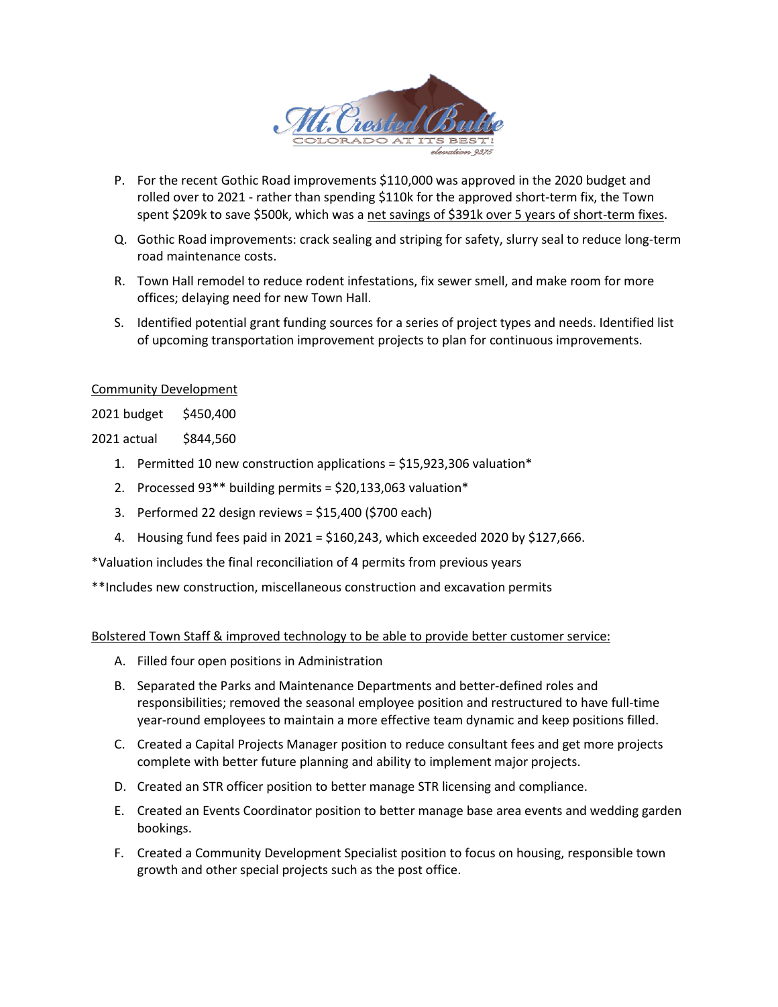

- P. For the recent Gothic Road improvements \$110,000 was approved in the 2020 budget and rolled over to 2021 - rather than spending \$110k for the approved short-term fix, the Town spent \$209k to save \$500k, which was a net savings of \$391k over 5 years of short-term fixes.
- Q. Gothic Road improvements: crack sealing and striping for safety, slurry seal to reduce long-term road maintenance costs.
- R. Town Hall remodel to reduce rodent infestations, fix sewer smell, and make room for more offices; delaying need for new Town Hall.
- S. Identified potential grant funding sources for a series of project types and needs. Identified list of upcoming transportation improvement projects to plan for continuous improvements.

## Community Development

2021 budget \$450,400

2021 actual \$844,560

- 1. Permitted 10 new construction applications = \$15,923,306 valuation\*
- 2. Processed 93\*\* building permits = \$20,133,063 valuation\*
- 3. Performed 22 design reviews = \$15,400 (\$700 each)
- 4. Housing fund fees paid in 2021 = \$160,243, which exceeded 2020 by \$127,666.

\*Valuation includes the final reconciliation of 4 permits from previous years

\*\*Includes new construction, miscellaneous construction and excavation permits

Bolstered Town Staff & improved technology to be able to provide better customer service:

- A. Filled four open positions in Administration
- B. Separated the Parks and Maintenance Departments and better-defined roles and responsibilities; removed the seasonal employee position and restructured to have full-time year-round employees to maintain a more effective team dynamic and keep positions filled.
- C. Created a Capital Projects Manager position to reduce consultant fees and get more projects complete with better future planning and ability to implement major projects.
- D. Created an STR officer position to better manage STR licensing and compliance.
- E. Created an Events Coordinator position to better manage base area events and wedding garden bookings.
- F. Created a Community Development Specialist position to focus on housing, responsible town growth and other special projects such as the post office.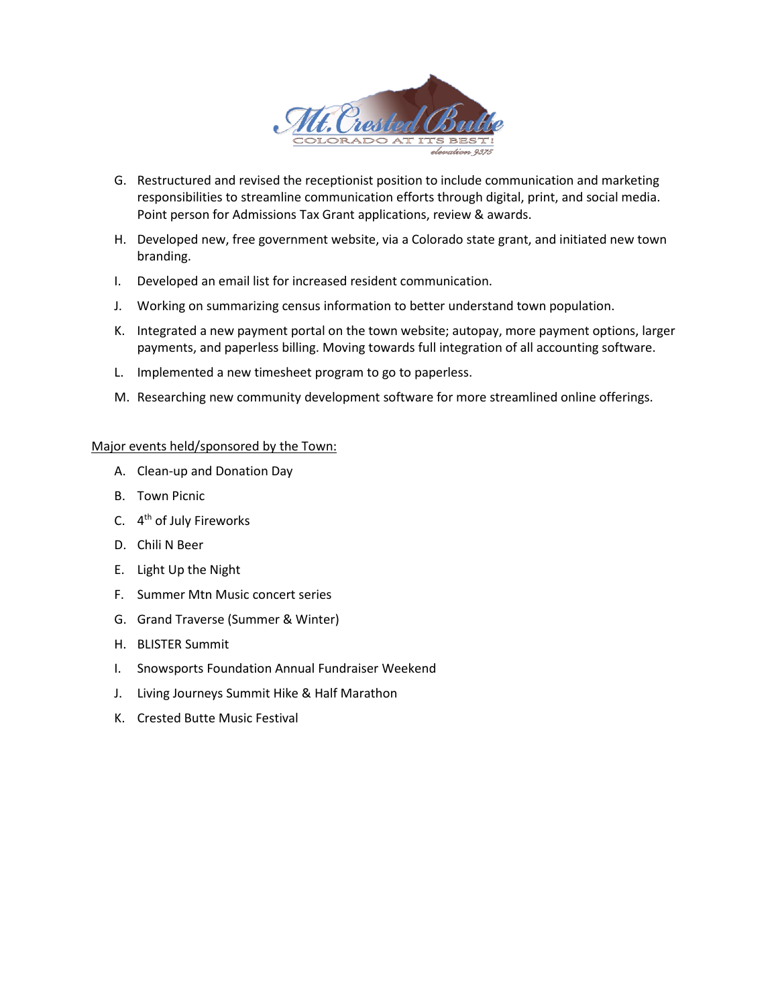

- G. Restructured and revised the receptionist position to include communication and marketing responsibilities to streamline communication efforts through digital, print, and social media. Point person for Admissions Tax Grant applications, review & awards.
- H. Developed new, free government website, via a Colorado state grant, and initiated new town branding.
- I. Developed an email list for increased resident communication.
- J. Working on summarizing census information to better understand town population.
- K. Integrated a new payment portal on the town website; autopay, more payment options, larger payments, and paperless billing. Moving towards full integration of all accounting software.
- L. Implemented a new timesheet program to go to paperless.
- M. Researching new community development software for more streamlined online offerings.

#### Major events held/sponsored by the Town:

- A. Clean-up and Donation Day
- B. Town Picnic
- C. 4th of July Fireworks
- D. Chili N Beer
- E. Light Up the Night
- F. Summer Mtn Music concert series
- G. Grand Traverse (Summer & Winter)
- H. BLISTER Summit
- I. Snowsports Foundation Annual Fundraiser Weekend
- J. Living Journeys Summit Hike & Half Marathon
- K. Crested Butte Music Festival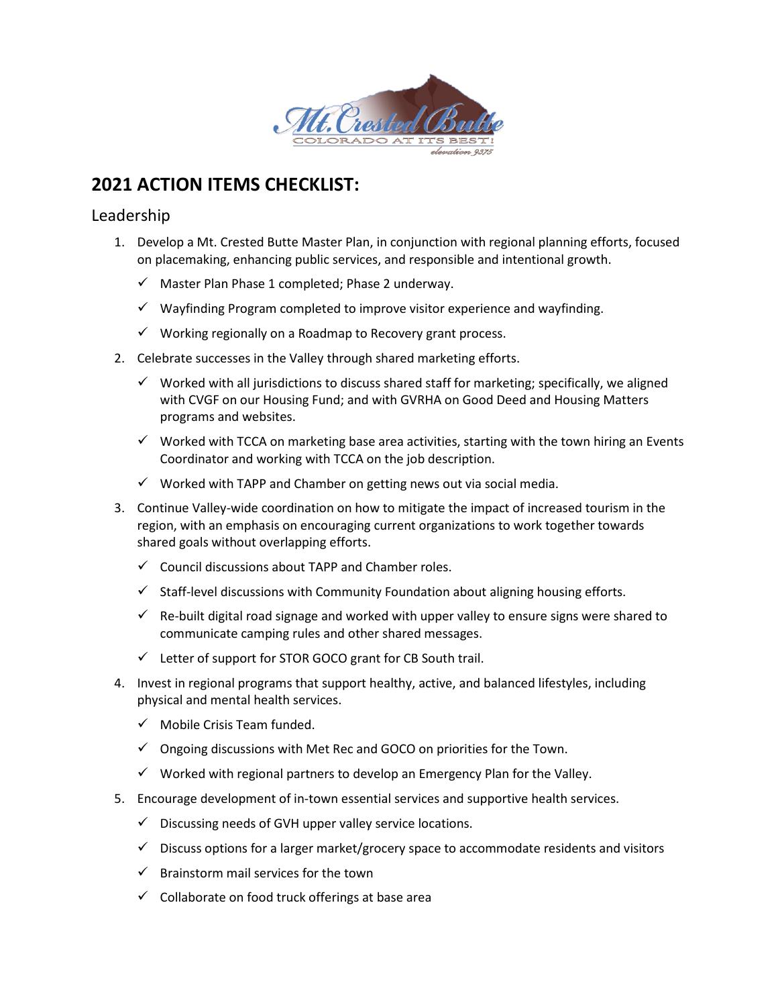

# **2021 ACTION ITEMS CHECKLIST:**

# Leadership

- 1. Develop a Mt. Crested Butte Master Plan, in conjunction with regional planning efforts, focused on placemaking, enhancing public services, and responsible and intentional growth.
	- $\checkmark$  Master Plan Phase 1 completed; Phase 2 underway.
	- $\checkmark$  Wayfinding Program completed to improve visitor experience and wayfinding.
	- $\checkmark$  Working regionally on a Roadmap to Recovery grant process.
- 2. Celebrate successes in the Valley through shared marketing efforts.
	- $\checkmark$  Worked with all jurisdictions to discuss shared staff for marketing; specifically, we aligned with CVGF on our Housing Fund; and with GVRHA on Good Deed and Housing Matters programs and websites.
	- $\checkmark$  Worked with TCCA on marketing base area activities, starting with the town hiring an Events Coordinator and working with TCCA on the job description.
	- $\checkmark$  Worked with TAPP and Chamber on getting news out via social media.
- 3. Continue Valley-wide coordination on how to mitigate the impact of increased tourism in the region, with an emphasis on encouraging current organizations to work together towards shared goals without overlapping efforts.
	- $\checkmark$  Council discussions about TAPP and Chamber roles.
	- $\checkmark$  Staff-level discussions with Community Foundation about aligning housing efforts.
	- $\checkmark$  Re-built digital road signage and worked with upper valley to ensure signs were shared to communicate camping rules and other shared messages.
	- $\checkmark$  Letter of support for STOR GOCO grant for CB South trail.
- 4. Invest in regional programs that support healthy, active, and balanced lifestyles, including physical and mental health services.
	- $\checkmark$  Mobile Crisis Team funded.
	- $\checkmark$  Ongoing discussions with Met Rec and GOCO on priorities for the Town.
	- $\checkmark$  Worked with regional partners to develop an Emergency Plan for the Valley.
- 5. Encourage development of in-town essential services and supportive health services.
	- $\checkmark$  Discussing needs of GVH upper valley service locations.
	- $\checkmark$  Discuss options for a larger market/grocery space to accommodate residents and visitors
	- $\checkmark$  Brainstorm mail services for the town
	- $\checkmark$  Collaborate on food truck offerings at base area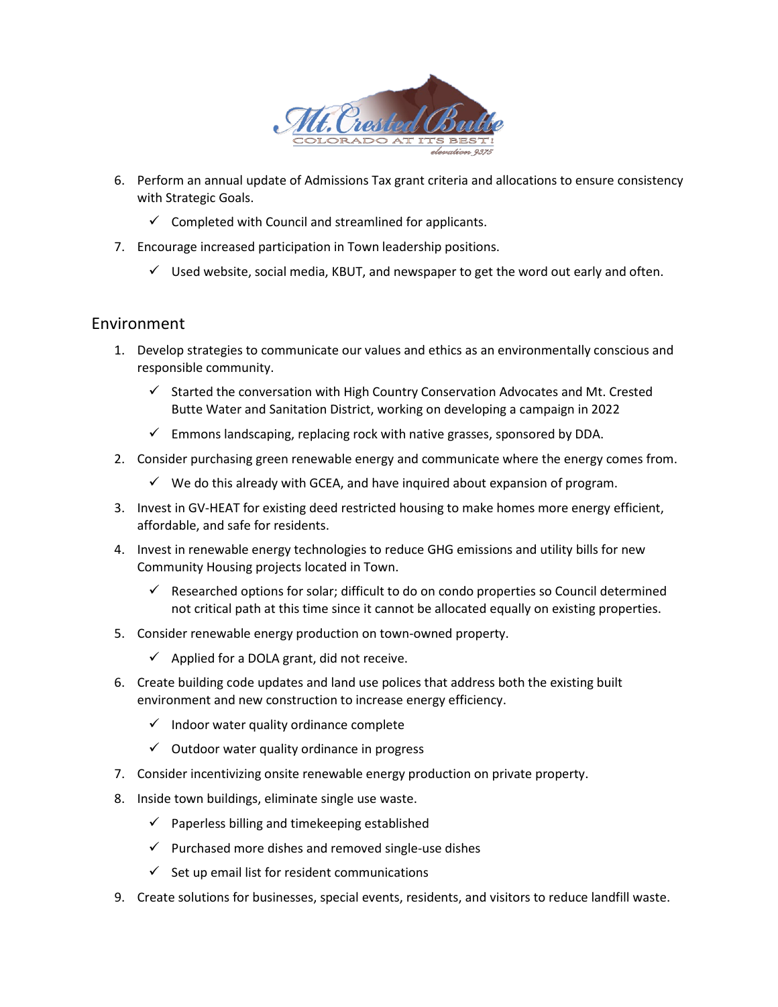

- 6. Perform an annual update of Admissions Tax grant criteria and allocations to ensure consistency with Strategic Goals.
	- $\checkmark$  Completed with Council and streamlined for applicants.
- 7. Encourage increased participation in Town leadership positions.
	- $\checkmark$  Used website, social media, KBUT, and newspaper to get the word out early and often.

# Environment

- 1. Develop strategies to communicate our values and ethics as an environmentally conscious and responsible community.
	- $\checkmark$  Started the conversation with High Country Conservation Advocates and Mt. Crested Butte Water and Sanitation District, working on developing a campaign in 2022
	- $\checkmark$  Emmons landscaping, replacing rock with native grasses, sponsored by DDA.
- 2. Consider purchasing green renewable energy and communicate where the energy comes from.
	- $\checkmark$  We do this already with GCEA, and have inquired about expansion of program.
- 3. Invest in GV-HEAT for existing deed restricted housing to make homes more energy efficient, affordable, and safe for residents.
- 4. Invest in renewable energy technologies to reduce GHG emissions and utility bills for new Community Housing projects located in Town.
	- $\checkmark$  Researched options for solar; difficult to do on condo properties so Council determined not critical path at this time since it cannot be allocated equally on existing properties.
- 5. Consider renewable energy production on town-owned property.
	- $\checkmark$  Applied for a DOLA grant, did not receive.
- 6. Create building code updates and land use polices that address both the existing built environment and new construction to increase energy efficiency.
	- $\checkmark$  Indoor water quality ordinance complete
	- $\checkmark$  Outdoor water quality ordinance in progress
- 7. Consider incentivizing onsite renewable energy production on private property.
- 8. Inside town buildings, eliminate single use waste.
	- $\checkmark$  Paperless billing and timekeeping established
	- $\checkmark$  Purchased more dishes and removed single-use dishes
	- $\checkmark$  Set up email list for resident communications
- 9. Create solutions for businesses, special events, residents, and visitors to reduce landfill waste.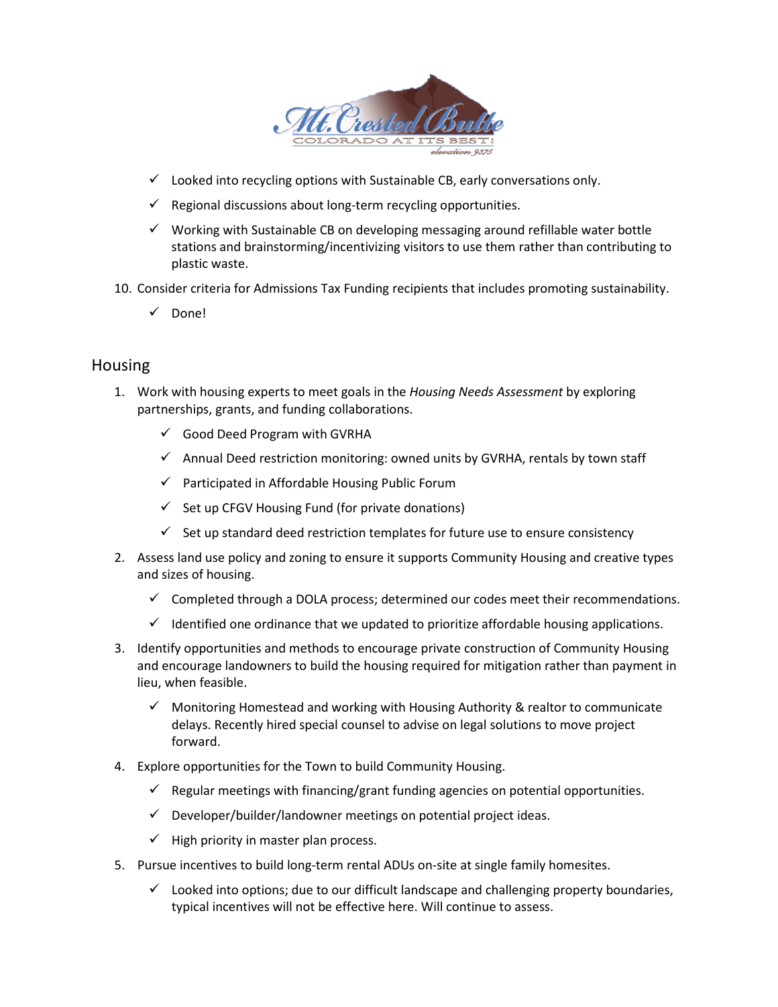

- $\checkmark$  Looked into recycling options with Sustainable CB, early conversations only.
- $\checkmark$  Regional discussions about long-term recycling opportunities.
- $\checkmark$  Working with Sustainable CB on developing messaging around refillable water bottle stations and brainstorming/incentivizing visitors to use them rather than contributing to plastic waste.
- 10. Consider criteria for Admissions Tax Funding recipients that includes promoting sustainability.
	- Done!

## Housing

- 1. Work with housing experts to meet goals in the *Housing Needs Assessment* by exploring partnerships, grants, and funding collaborations.
	- $\checkmark$  Good Deed Program with GVRHA
	- $\checkmark$  Annual Deed restriction monitoring: owned units by GVRHA, rentals by town staff
	- $\checkmark$  Participated in Affordable Housing Public Forum
	- $\checkmark$  Set up CFGV Housing Fund (for private donations)
	- $\checkmark$  Set up standard deed restriction templates for future use to ensure consistency
- 2. Assess land use policy and zoning to ensure it supports Community Housing and creative types and sizes of housing.
	- $\checkmark$  Completed through a DOLA process; determined our codes meet their recommendations.
	- $\checkmark$  Identified one ordinance that we updated to prioritize affordable housing applications.
- 3. Identify opportunities and methods to encourage private construction of Community Housing and encourage landowners to build the housing required for mitigation rather than payment in lieu, when feasible.
	- $\checkmark$  Monitoring Homestead and working with Housing Authority & realtor to communicate delays. Recently hired special counsel to advise on legal solutions to move project forward.
- 4. Explore opportunities for the Town to build Community Housing.
	- $\checkmark$  Regular meetings with financing/grant funding agencies on potential opportunities.
	- $\checkmark$  Developer/builder/landowner meetings on potential project ideas.
	- $\checkmark$  High priority in master plan process.
- 5. Pursue incentives to build long-term rental ADUs on-site at single family homesites.
	- $\checkmark$  Looked into options; due to our difficult landscape and challenging property boundaries, typical incentives will not be effective here. Will continue to assess.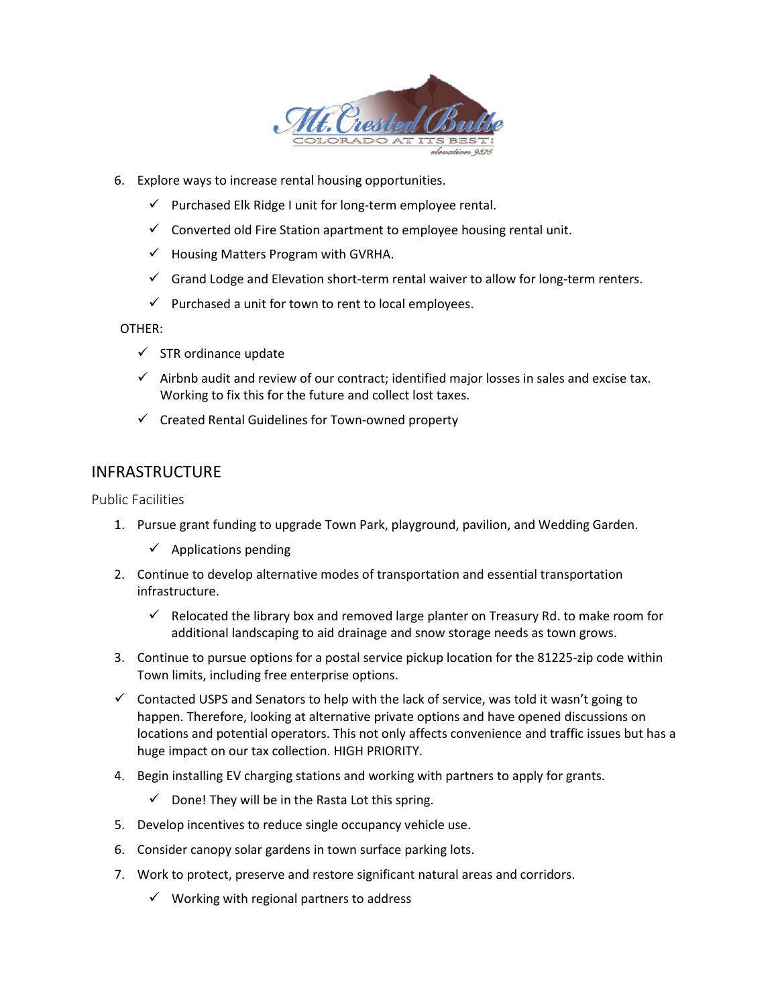

- 6. Explore ways to increase rental housing opportunities.
	- $\checkmark$  Purchased Elk Ridge I unit for long-term employee rental.
	- $\checkmark$  Converted old Fire Station apartment to employee housing rental unit.
	- $\checkmark$  Housing Matters Program with GVRHA.
	- $\checkmark$  Grand Lodge and Elevation short-term rental waiver to allow for long-term renters.
	- $\checkmark$  Purchased a unit for town to rent to local employees.

## OTHER:

- $\checkmark$  STR ordinance update
- $\checkmark$  Airbnb audit and review of our contract; identified major losses in sales and excise tax. Working to fix this for the future and collect lost taxes.
- $\checkmark$  Created Rental Guidelines for Town-owned property

# INFRASTRUCTURE

Public Facilities

- 1. Pursue grant funding to upgrade Town Park, playground, pavilion, and Wedding Garden.
	- $\checkmark$  Applications pending
- 2. Continue to develop alternative modes of transportation and essential transportation infrastructure.
	- $\checkmark$  Relocated the library box and removed large planter on Treasury Rd. to make room for additional landscaping to aid drainage and snow storage needs as town grows.
- 3. Continue to pursue options for a postal service pickup location for the 81225-zip code within Town limits, including free enterprise options.
- $\checkmark$  Contacted USPS and Senators to help with the lack of service, was told it wasn't going to happen. Therefore, looking at alternative private options and have opened discussions on locations and potential operators. This not only affects convenience and traffic issues but has a huge impact on our tax collection. HIGH PRIORITY.
- 4. Begin installing EV charging stations and working with partners to apply for grants.
	- $\checkmark$  Done! They will be in the Rasta Lot this spring.
- 5. Develop incentives to reduce single occupancy vehicle use.
- 6. Consider canopy solar gardens in town surface parking lots.
- 7. Work to protect, preserve and restore significant natural areas and corridors.
	- $\checkmark$  Working with regional partners to address